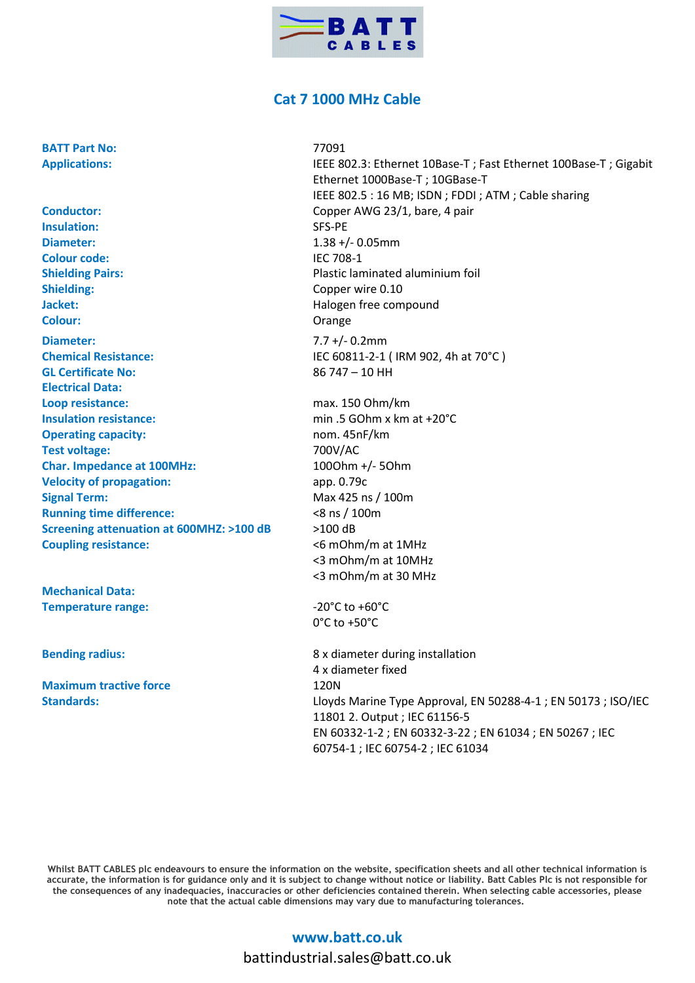

## **Cat 7 1000 MHz Cable**

**BATT Part No: 77091** 

**Conductor:** Copper AWG 23/1, bare, 4 pair **Insulation:** SFS-PE **Diameter:** 1.38 +/- 0.05mm **Colour code:** IEC 708-1 **Shielding Pairs: Community Community Plastic laminated aluminium foil Shielding:** Copper wire 0.10 **Jacket: Halogen free compound Colour:** Orange **Diameter:** 7.7 +/- 0.2mm **Chemical Resistance:** IEC 60811-2-1 ( IRM 902, 4h at 70°C ) **GL Certificate No:** 86 747 – 10 HH **Electrical Data: Loop resistance:** max. 150 Ohm/km **Insulation resistance:** min .5 GOhm x km at +20°C **Operating capacity:** nom. 45nF/km **Test voltage:** 700V/AC **Char. Impedance at 100MHz:** 100Ohm +/- 5Ohm **Velocity of propagation:** app. 0.79c **Signal Term:** Max 425 ns / 100m **Running time difference:**  $\leq 8 \text{ ns} / 100 \text{ m}$ **Screening attenuation at 600MHZ: >100 dB** >100 dB **Coupling resistance:** <6 mOhm/m at 1MHz

**Mechanical Data: Temperature range:**  $-20^{\circ}$ C to  $+60^{\circ}$ C

**Maximum tractive force** 120N

**Applications:** IEEE 802.3: Ethernet 10Base-T ; Fast Ethernet 100Base-T ; Gigabit Ethernet 1000Base-T ; 10GBase-T IEEE 802.5 : 16 MB; ISDN ; FDDI ; ATM ; Cable sharing <3 mOhm/m at 10MHz <3 mOhm/m at 30 MHz 0°C to +50°C **Bending radius:** 8 x diameter during installation 4 x diameter fixed

**Standards:** Lloyds Marine Type Approval, EN 50288-4-1 ; EN 50173 ; ISO/IEC 11801 2. Output ; IEC 61156-5 EN 60332-1-2 ; EN 60332-3-22 ; EN 61034 ; EN 50267 ; IEC 60754-1 ; IEC 60754-2 ; IEC 61034

**Whilst BATT CABLES plc endeavours to ensure the information on the website, specification sheets and all other technical information is accurate, the information is for guidance only and it is subject to change without notice or liability. Batt Cables Plc is not responsible for the consequences of any inadequacies, inaccuracies or other deficiencies contained therein. When selecting cable accessories, please note that the actual cable dimensions may vary due to manufacturing tolerances.**